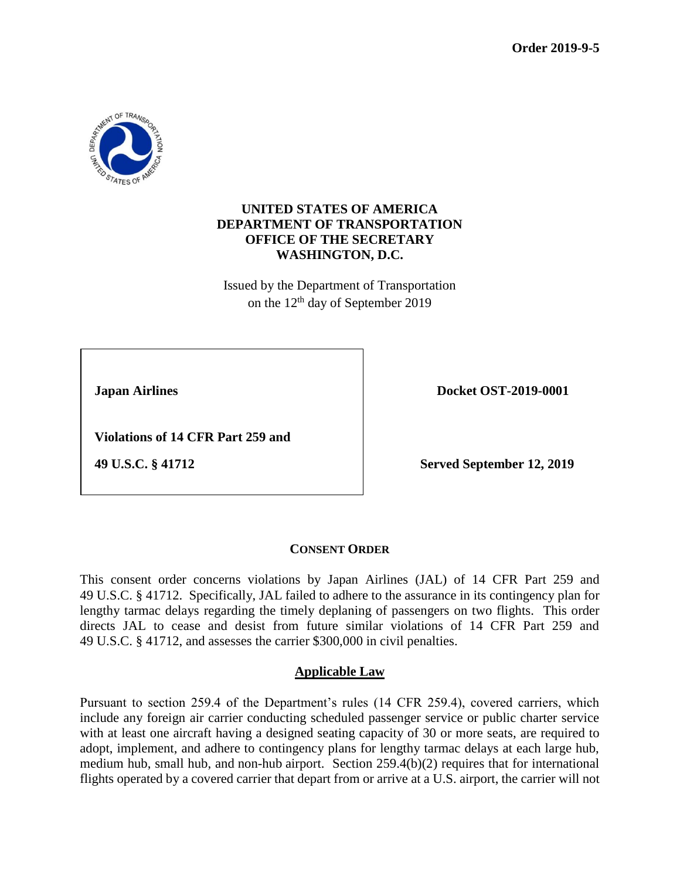

## **UNITED STATES OF AMERICA DEPARTMENT OF TRANSPORTATION OFFICE OF THE SECRETARY WASHINGTON, D.C.**

Issued by the Department of Transportation on the 12th day of September 2019

**1** Japan Airlines Docket OST-2019-0001

 **Violations of 14 CFR Part 259 and**

 **49 U.S.C. § 41712 Served September 12, 2019**

# **CONSENT ORDER**

This consent order concerns violations by Japan Airlines (JAL) of 14 CFR Part 259 and 49 U.S.C. § 41712. Specifically, JAL failed to adhere to the assurance in its contingency plan for lengthy tarmac delays regarding the timely deplaning of passengers on two flights. This order directs JAL to cease and desist from future similar violations of 14 CFR Part 259 and 49 U.S.C. § 41712, and assesses the carrier \$300,000 in civil penalties.

# **Applicable Law**

Pursuant to section 259.4 of the Department's rules (14 CFR 259.4), covered carriers, which include any foreign air carrier conducting scheduled passenger service or public charter service with at least one aircraft having a designed seating capacity of 30 or more seats, are required to adopt, implement, and adhere to contingency plans for lengthy tarmac delays at each large hub, medium hub, small hub, and non-hub airport. Section 259.4(b)(2) requires that for international flights operated by a covered carrier that depart from or arrive at a U.S. airport, the carrier will not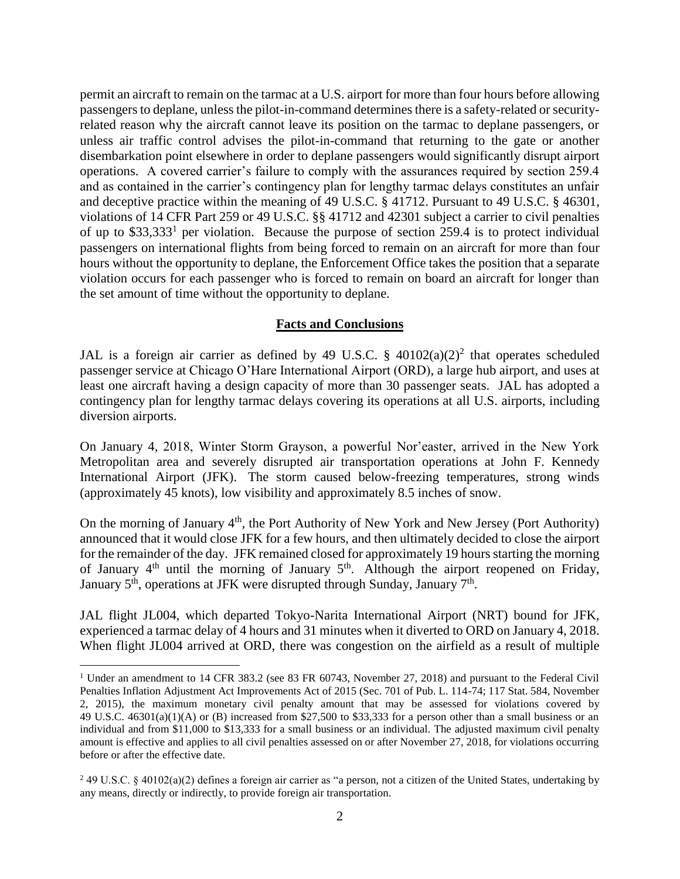permit an aircraft to remain on the tarmac at a U.S. airport for more than four hours before allowing passengers to deplane, unless the pilot-in-command determines there is a safety-related or securityrelated reason why the aircraft cannot leave its position on the tarmac to deplane passengers, or unless air traffic control advises the pilot-in-command that returning to the gate or another disembarkation point elsewhere in order to deplane passengers would significantly disrupt airport operations. A covered carrier's failure to comply with the assurances required by section 259.4 and as contained in the carrier's contingency plan for lengthy tarmac delays constitutes an unfair and deceptive practice within the meaning of 49 U.S.C. § 41712. Pursuant to 49 U.S.C. § 46301, violations of 14 CFR Part 259 or 49 U.S.C. §§ 41712 and 42301 subject a carrier to civil penalties of up to \$33,333<sup>1</sup> per violation. Because the purpose of section 259.4 is to protect individual passengers on international flights from being forced to remain on an aircraft for more than four hours without the opportunity to deplane, the Enforcement Office takes the position that a separate violation occurs for each passenger who is forced to remain on board an aircraft for longer than the set amount of time without the opportunity to deplane.

### **Facts and Conclusions**

JAL is a foreign air carrier as defined by 49 U.S.C. §  $40102(a)(2)^2$  that operates scheduled passenger service at Chicago O'Hare International Airport (ORD), a large hub airport, and uses at least one aircraft having a design capacity of more than 30 passenger seats. JAL has adopted a contingency plan for lengthy tarmac delays covering its operations at all U.S. airports, including diversion airports.

On January 4, 2018, Winter Storm Grayson, a powerful Nor'easter, arrived in the New York Metropolitan area and severely disrupted air transportation operations at John F. Kennedy International Airport (JFK). The storm caused below-freezing temperatures, strong winds (approximately 45 knots), low visibility and approximately 8.5 inches of snow.

On the morning of January 4<sup>th</sup>, the Port Authority of New York and New Jersey (Port Authority) announced that it would close JFK for a few hours, and then ultimately decided to close the airport for the remainder of the day. JFK remained closed for approximately 19 hours starting the morning of January  $4<sup>th</sup>$  until the morning of January  $5<sup>th</sup>$ . Although the airport reopened on Friday, January  $5<sup>th</sup>$ , operations at JFK were disrupted through Sunday, January  $7<sup>th</sup>$ .

JAL flight JL004, which departed Tokyo-Narita International Airport (NRT) bound for JFK, experienced a tarmac delay of 4 hours and 31 minutes when it diverted to ORD on January 4, 2018. When flight JL004 arrived at ORD, there was congestion on the airfield as a result of multiple

 $\overline{a}$ 

<sup>&</sup>lt;sup>1</sup> Under an amendment to 14 CFR 383.2 (see 83 FR 60743, November 27, 2018) and pursuant to the Federal Civil Penalties Inflation Adjustment Act Improvements Act of 2015 (Sec. 701 of Pub. L. 114-74; 117 Stat. 584, November 2, 2015), the maximum monetary civil penalty amount that may be assessed for violations covered by 49 U.S.C. 46301(a)(1)(A) or (B) increased from \$27,500 to \$33,333 for a person other than a small business or an individual and from \$11,000 to \$13,333 for a small business or an individual. The adjusted maximum civil penalty amount is effective and applies to all civil penalties assessed on or after November 27, 2018, for violations occurring before or after the effective date.

 $2$  49 U.S.C. § 40102(a)(2) defines a foreign air carrier as "a person, not a citizen of the United States, undertaking by any means, directly or indirectly, to provide foreign air transportation.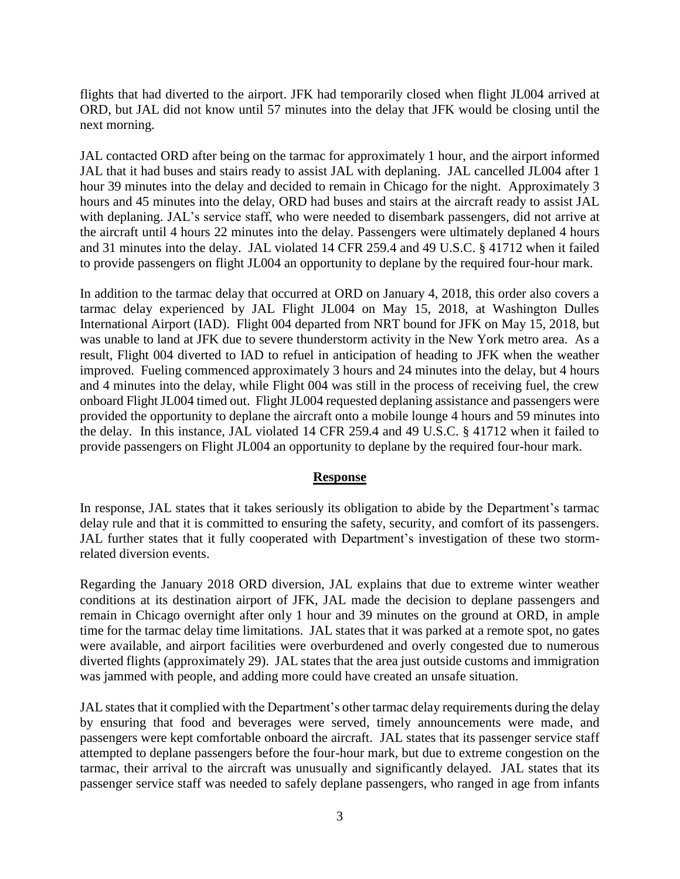flights that had diverted to the airport. JFK had temporarily closed when flight JL004 arrived at ORD, but JAL did not know until 57 minutes into the delay that JFK would be closing until the next morning.

JAL contacted ORD after being on the tarmac for approximately 1 hour, and the airport informed JAL that it had buses and stairs ready to assist JAL with deplaning. JAL cancelled JL004 after 1 hour 39 minutes into the delay and decided to remain in Chicago for the night. Approximately 3 hours and 45 minutes into the delay, ORD had buses and stairs at the aircraft ready to assist JAL with deplaning. JAL's service staff, who were needed to disembark passengers, did not arrive at the aircraft until 4 hours 22 minutes into the delay. Passengers were ultimately deplaned 4 hours and 31 minutes into the delay. JAL violated 14 CFR 259.4 and 49 U.S.C. § 41712 when it failed to provide passengers on flight JL004 an opportunity to deplane by the required four-hour mark.

In addition to the tarmac delay that occurred at ORD on January 4, 2018, this order also covers a tarmac delay experienced by JAL Flight JL004 on May 15, 2018, at Washington Dulles International Airport (IAD). Flight 004 departed from NRT bound for JFK on May 15, 2018, but was unable to land at JFK due to severe thunderstorm activity in the New York metro area. As a result, Flight 004 diverted to IAD to refuel in anticipation of heading to JFK when the weather improved. Fueling commenced approximately 3 hours and 24 minutes into the delay, but 4 hours and 4 minutes into the delay, while Flight 004 was still in the process of receiving fuel, the crew onboard Flight JL004 timed out. Flight JL004 requested deplaning assistance and passengers were provided the opportunity to deplane the aircraft onto a mobile lounge 4 hours and 59 minutes into the delay. In this instance, JAL violated 14 CFR 259.4 and 49 U.S.C. § 41712 when it failed to provide passengers on Flight JL004 an opportunity to deplane by the required four-hour mark.

#### **Response**

In response, JAL states that it takes seriously its obligation to abide by the Department's tarmac delay rule and that it is committed to ensuring the safety, security, and comfort of its passengers. JAL further states that it fully cooperated with Department's investigation of these two stormrelated diversion events.

Regarding the January 2018 ORD diversion, JAL explains that due to extreme winter weather conditions at its destination airport of JFK, JAL made the decision to deplane passengers and remain in Chicago overnight after only 1 hour and 39 minutes on the ground at ORD, in ample time for the tarmac delay time limitations. JAL states that it was parked at a remote spot, no gates were available, and airport facilities were overburdened and overly congested due to numerous diverted flights (approximately 29). JAL states that the area just outside customs and immigration was jammed with people, and adding more could have created an unsafe situation.

JAL states that it complied with the Department's other tarmac delay requirements during the delay by ensuring that food and beverages were served, timely announcements were made, and passengers were kept comfortable onboard the aircraft. JAL states that its passenger service staff attempted to deplane passengers before the four-hour mark, but due to extreme congestion on the tarmac, their arrival to the aircraft was unusually and significantly delayed. JAL states that its passenger service staff was needed to safely deplane passengers, who ranged in age from infants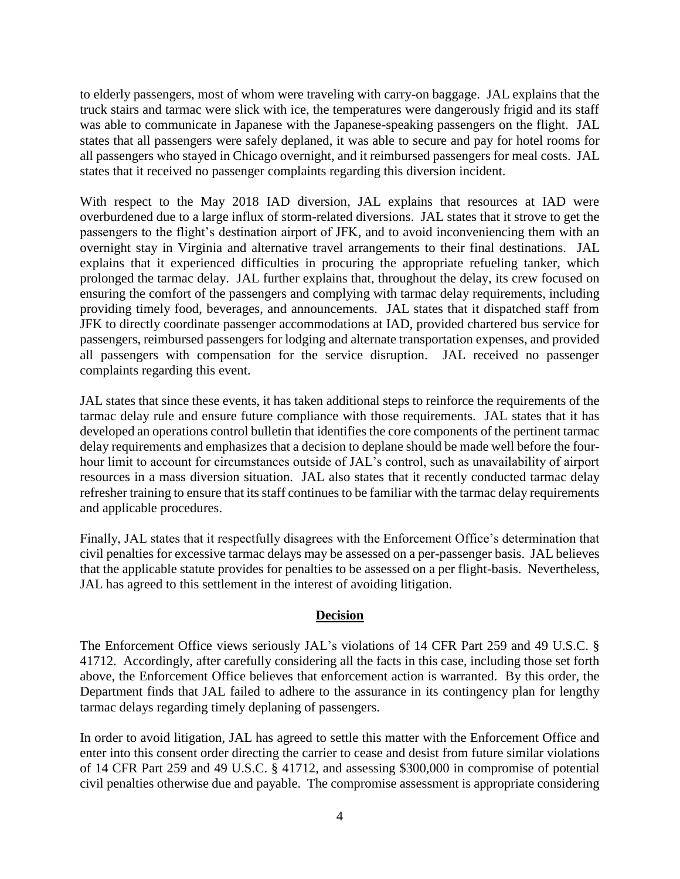to elderly passengers, most of whom were traveling with carry-on baggage. JAL explains that the truck stairs and tarmac were slick with ice, the temperatures were dangerously frigid and its staff was able to communicate in Japanese with the Japanese-speaking passengers on the flight. JAL states that all passengers were safely deplaned, it was able to secure and pay for hotel rooms for all passengers who stayed in Chicago overnight, and it reimbursed passengers for meal costs. JAL states that it received no passenger complaints regarding this diversion incident.

With respect to the May 2018 IAD diversion, JAL explains that resources at IAD were overburdened due to a large influx of storm-related diversions. JAL states that it strove to get the passengers to the flight's destination airport of JFK, and to avoid inconveniencing them with an overnight stay in Virginia and alternative travel arrangements to their final destinations. JAL explains that it experienced difficulties in procuring the appropriate refueling tanker, which prolonged the tarmac delay. JAL further explains that, throughout the delay, its crew focused on ensuring the comfort of the passengers and complying with tarmac delay requirements, including providing timely food, beverages, and announcements. JAL states that it dispatched staff from JFK to directly coordinate passenger accommodations at IAD, provided chartered bus service for passengers, reimbursed passengers for lodging and alternate transportation expenses, and provided all passengers with compensation for the service disruption. JAL received no passenger complaints regarding this event.

JAL states that since these events, it has taken additional steps to reinforce the requirements of the tarmac delay rule and ensure future compliance with those requirements. JAL states that it has developed an operations control bulletin that identifies the core components of the pertinent tarmac delay requirements and emphasizes that a decision to deplane should be made well before the fourhour limit to account for circumstances outside of JAL's control, such as unavailability of airport resources in a mass diversion situation. JAL also states that it recently conducted tarmac delay refresher training to ensure that its staff continues to be familiar with the tarmac delay requirements and applicable procedures.

Finally, JAL states that it respectfully disagrees with the Enforcement Office's determination that civil penalties for excessive tarmac delays may be assessed on a per-passenger basis. JAL believes that the applicable statute provides for penalties to be assessed on a per flight-basis. Nevertheless, JAL has agreed to this settlement in the interest of avoiding litigation.

### **Decision**

The Enforcement Office views seriously JAL's violations of 14 CFR Part 259 and 49 U.S.C. § 41712. Accordingly, after carefully considering all the facts in this case, including those set forth above, the Enforcement Office believes that enforcement action is warranted. By this order, the Department finds that JAL failed to adhere to the assurance in its contingency plan for lengthy tarmac delays regarding timely deplaning of passengers.

In order to avoid litigation, JAL has agreed to settle this matter with the Enforcement Office and enter into this consent order directing the carrier to cease and desist from future similar violations of 14 CFR Part 259 and 49 U.S.C. § 41712, and assessing \$300,000 in compromise of potential civil penalties otherwise due and payable. The compromise assessment is appropriate considering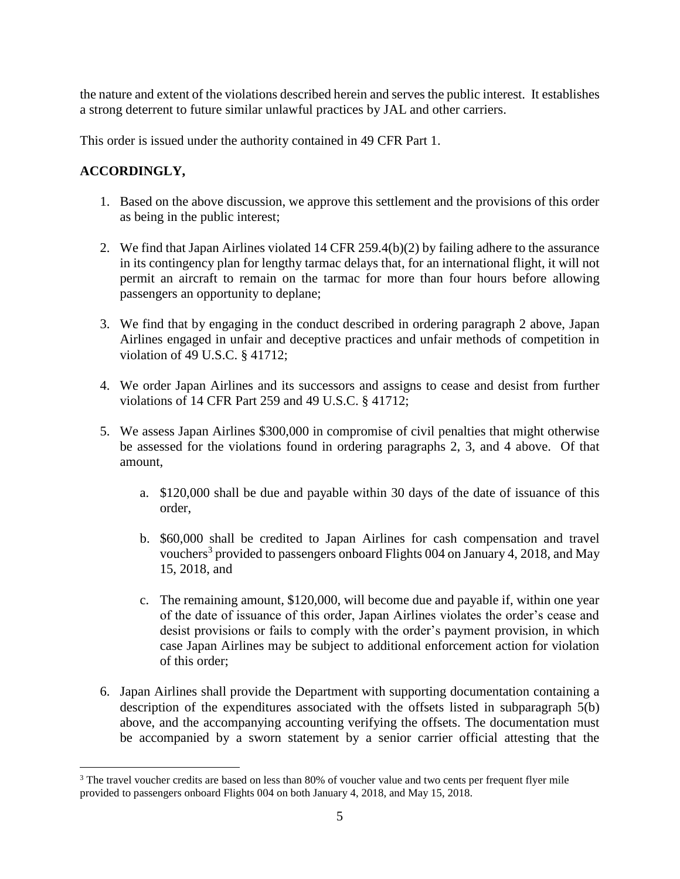the nature and extent of the violations described herein and serves the public interest. It establishes a strong deterrent to future similar unlawful practices by JAL and other carriers.

This order is issued under the authority contained in 49 CFR Part 1.

# **ACCORDINGLY,**

 $\overline{a}$ 

- 1. Based on the above discussion, we approve this settlement and the provisions of this order as being in the public interest;
- 2. We find that Japan Airlines violated 14 CFR 259.4(b)(2) by failing adhere to the assurance in its contingency plan for lengthy tarmac delays that, for an international flight, it will not permit an aircraft to remain on the tarmac for more than four hours before allowing passengers an opportunity to deplane;
- 3. We find that by engaging in the conduct described in ordering paragraph 2 above, Japan Airlines engaged in unfair and deceptive practices and unfair methods of competition in violation of 49 U.S.C. § 41712;
- 4. We order Japan Airlines and its successors and assigns to cease and desist from further violations of 14 CFR Part 259 and 49 U.S.C. § 41712;
- 5. We assess Japan Airlines \$300,000 in compromise of civil penalties that might otherwise be assessed for the violations found in ordering paragraphs 2, 3, and 4 above. Of that amount,
	- a. \$120,000 shall be due and payable within 30 days of the date of issuance of this order,
	- b. \$60,000 shall be credited to Japan Airlines for cash compensation and travel vouchers<sup>3</sup> provided to passengers onboard Flights 004 on January 4, 2018, and May 15, 2018, and
	- c. The remaining amount, \$120,000, will become due and payable if, within one year of the date of issuance of this order, Japan Airlines violates the order's cease and desist provisions or fails to comply with the order's payment provision, in which case Japan Airlines may be subject to additional enforcement action for violation of this order;
- 6. Japan Airlines shall provide the Department with supporting documentation containing a description of the expenditures associated with the offsets listed in subparagraph 5(b) above, and the accompanying accounting verifying the offsets. The documentation must be accompanied by a sworn statement by a senior carrier official attesting that the

<sup>&</sup>lt;sup>3</sup> The travel voucher credits are based on less than 80% of voucher value and two cents per frequent flyer mile provided to passengers onboard Flights 004 on both January 4, 2018, and May 15, 2018.